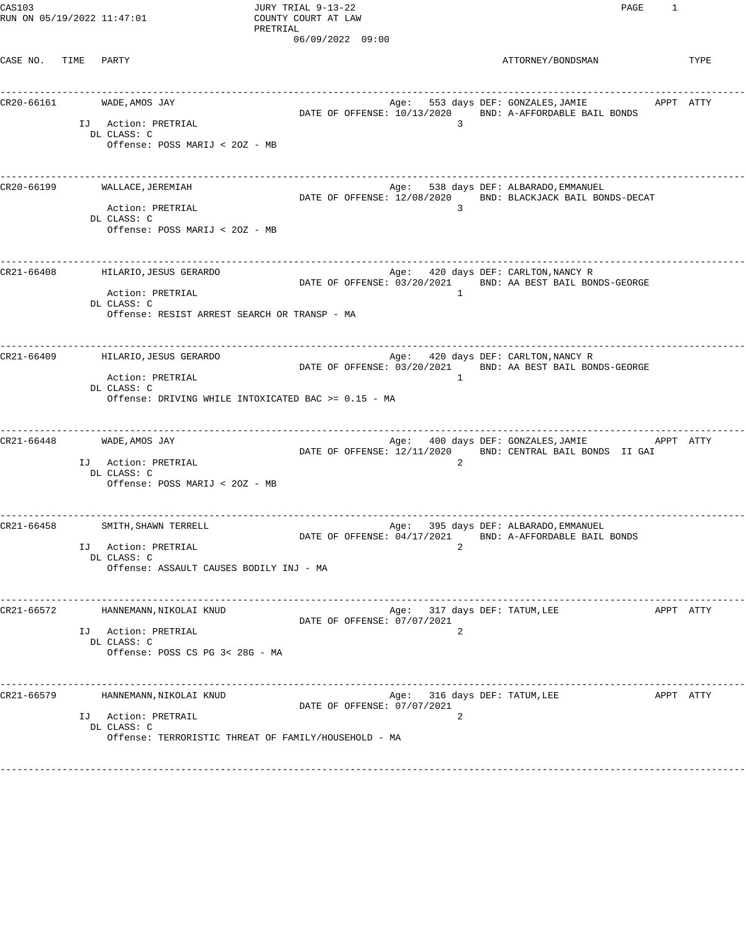CAS103 JURY TRIAL 9-13-22 PAGE 1 RUN ON  $05/19/2022$   $11:47:01$ 

PRETRIAL 06/09/2022 09:00

CASE NO. TIME PARTY **ATTORNEY/BONDSMAN** TYPE

------------------------------------------------------------------------------------------------------------------------------------ CR20-66161 WADE,AMOS JAY Age: 553 days DEF: GONZALES,JAMIE APPT ATTY DATE OF OFFENSE: 10/13/2020 BND: A-AFFORDABLE BAIL BONDS IJ Action: PRETRIAL 3 DL CLASS: C Offense: POSS MARIJ < 2OZ - MB ------------------------------------------------------------------------------------------------------------------------------------ CR20-66199 WALLACE,JEREMIAH Age: 538 days DEF: ALBARADO,EMMANUEL DATE OF OFFENSE: 12/08/2020 BND: BLACKJACK BAIL BONDS-DECAT Action: PRETRIAL DL CLASS: C Offense: POSS MARIJ < 2OZ - MB ------------------------------------------------------------------------------------------------------------------------------------ CR21-66408 HILARIO,JESUS GERARDO Age: 420 days DEF: CARLTON,NANCY R DATE OF OFFENSE: 03/20/2021 BND: AA BEST BAIL BONDS-GEORGE Action: PRETRIAL 1 DL CLASS: C Offense: RESIST ARREST SEARCH OR TRANSP - MA ------------------------------------------------------------------------------------------------------------------------------------ CR21-66409 HILARIO,JESUS GERARDO Age: 420 days DEF: CARLTON,NANCY R DATE OF OFFENSE: 03/20/2021 BND: AA BEST BAIL BONDS-GEORGE Action: PRETRIAL 1 DL CLASS: C Offense: DRIVING WHILE INTOXICATED BAC >= 0.15 - MA ------------------------------------------------------------------------------------------------------------------------------------ CR21-66448 WADE,AMOS JAY Age: 400 days DEF: GONZALES,JAMIE APPT ATTY DATE OF OFFENSE: 12/11/2020 BND: CENTRAL BAIL BONDS II GAI IJ Action: PRETRIAL 2 DL CLASS: C Offense: POSS MARIJ < 2OZ - MB ------------------------------------------------------------------------------------------------------------------------------------ Age: 395 days DEF: ALBARADO, EMMANUEL DATE OF OFFENSE: 04/17/2021 BND: A-AFFORDABLE BAIL BONDS IJ Action: PRETRIAL 2 DL CLASS: C Offense: ASSAULT CAUSES BODILY INJ - MA ------------------------------------------------------------------------------------------------------------------------------------ CR21-66572 HANNEMANN,NIKOLAI KNUD Age: 317 days DEF: TATUM,LEE APPT ATTY DATE OF OFFENSE: 07/07/2021 IJ Action: PRETRIAL DL CLASS: C Offense: POSS CS PG 3< 28G - MA ------------------------------------------------------------------------------------------------------------------------------------ CR21-66579 HANNEMANN,NIKOLAI KNUD Age: 316 days DEF: TATUM,LEE APPT ATTY DATE OF OFFENSE: 07/07/2021 IJ Action: PRETRAIL 2 DL CLASS: C Offense: TERRORISTIC THREAT OF FAMILY/HOUSEHOLD - MA ------------------------------------------------------------------------------------------------------------------------------------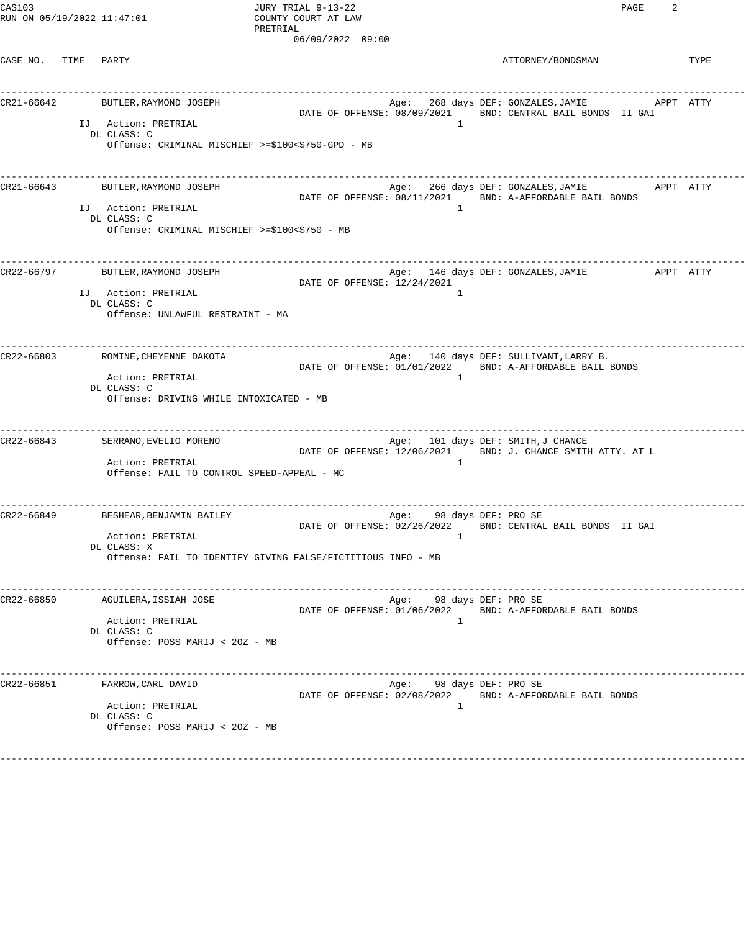CAS103 JURY TRIAL 9-13-22 PAGE 2 RUN ON 05/19/2022 11:47:01 COUNTY COURT AT LAW

PRETRIAL 06/09/2022 09:00

CASE NO. TIME PARTY TYPE

| CR21-66642 | BUTLER, RAYMOND JOSEPH<br>IJ Action: PRETRIAL<br>DL CLASS: C<br>Offense: CRIMINAL MISCHIEF >=\$100<\$750-GPD - MB          |                                   | $\overline{1}$                                | DATE OF OFFENSE: 08/09/2021 BND: CENTRAL BAIL BONDS II GAI                                                  |  |
|------------|----------------------------------------------------------------------------------------------------------------------------|-----------------------------------|-----------------------------------------------|-------------------------------------------------------------------------------------------------------------|--|
| CR21-66643 | BUTLER, RAYMOND JOSEPH<br>IJ Action: PRETRIAL<br>DL CLASS: C<br>Offense: CRIMINAL MISCHIEF >=\$100<\$750 - MB              |                                   | $\mathbf{1}$                                  | Age: 266 days DEF: GONZALES, JAMIE<br>APPT ATTY<br>DATE OF OFFENSE: 08/11/2021 BND: A-AFFORDABLE BAIL BONDS |  |
| CR22-66797 | BUTLER, RAYMOND JOSEPH<br>IJ Action: PRETRIAL<br>DL CLASS: C<br>Offense: UNLAWFUL RESTRAINT - MA                           | DATE OF OFFENSE: 12/24/2021       | 1                                             |                                                                                                             |  |
| CR22-66803 | ROMINE, CHEYENNE DAKOTA<br>Action: PRETRIAL<br>DL CLASS: C<br>Offense: DRIVING WHILE INTOXICATED - MB                      |                                   | $\mathbf{1}$                                  | Age: 140 days DEF: SULLIVANT,LARRY B.<br>DATE OF OFFENSE: 01/01/2022 BND: A-AFFORDABLE BAIL BONDS           |  |
| CR22-66843 | ----------------------------<br>SERRANO, EVELIO MORENO<br>Action: PRETRIAL<br>Offense: FAIL TO CONTROL SPEED-APPEAL - MC   |                                   | Age: 101 days DEF: SMITH,J CHANCE<br>$\sim$ 1 | DATE OF OFFENSE: 12/06/2021 BND: J. CHANCE SMITH ATTY. AT L                                                 |  |
| CR22-66849 | BESHEAR, BENJAMIN BAILEY<br>Action: PRETRIAL<br>DL CLASS: X<br>Offense: FAIL TO IDENTIFY GIVING FALSE/FICTITIOUS INFO - MB | --------------------------------- | Age: 98 days DEF: PRO SE<br>$\mathbf{1}$      | DATE OF OFFENSE: 02/26/2022 BND: CENTRAL BAIL BONDS II GAI                                                  |  |
| CR22-66850 | AGUILERA, ISSIAH JOSE<br>Action: PRETRIAL<br>DL CLASS: C<br>Offense: POSS MARIJ < 20Z - MB                                 | DATE OF OFFENSE: 01/06/2022       | Age: 98 days DEF: PRO SE<br>$\mathbf{1}$      | BND: A-AFFORDABLE BAIL BONDS                                                                                |  |
| CR22-66851 | FARROW, CARL DAVID<br>Action: PRETRIAL<br>DL CLASS: C<br>Offense: POSS MARIJ < 20Z - MB                                    | DATE OF OFFENSE: 02/08/2022       | Age: 98 days DEF: PRO SE<br>1                 | BND: A-AFFORDABLE BAIL BONDS                                                                                |  |
|            |                                                                                                                            |                                   |                                               |                                                                                                             |  |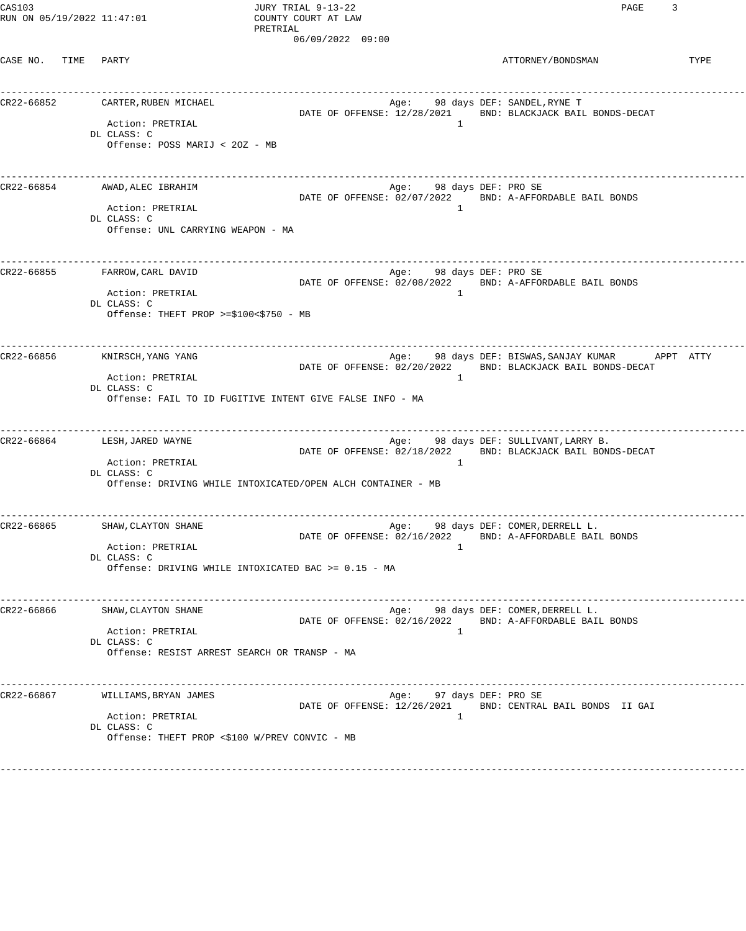CAS103 JURY TRIAL 9-13-22 PAGE 3 RUN ON 05/19/2022 11:47:01 COUNTY COURT AT LAW

PRETRIAL 06/09/2022 09:00

CASE NO. TIME PARTY TYPE

| CR22-66852 | CARTER,RUBEN MICHAEL<br>Action: PRETRIAL<br>DL CLASS: C<br>Offense: POSS MARIJ < 20Z - MB                          |                             | $\overline{1}$                             | Age: 98 days DEF: SANDEL, RYNE T<br>DATE OF OFFENSE: 12/28/2021 BND: BLACKJACK BAIL BONDS-DECAT                   |
|------------|--------------------------------------------------------------------------------------------------------------------|-----------------------------|--------------------------------------------|-------------------------------------------------------------------------------------------------------------------|
| CR22-66854 | AWAD, ALEC IBRAHIM<br>Action: PRETRIAL<br>DL CLASS: C<br>Offense: UNL CARRYING WEAPON - MA                         |                             | Age: 98 days DEF: PRO SE<br>$\overline{1}$ | DATE OF OFFENSE: 02/07/2022 BND: A-AFFORDABLE BAIL BONDS                                                          |
| CR22-66855 | FARROW,CARL DAVID<br>Action: PRETRIAL<br>DL CLASS: C<br>Offense: THEFT PROP >= $$100<$750$ - MB                    |                             | Age: 98 days DEF: PRO SE<br>$\overline{1}$ | DATE OF OFFENSE: 02/08/2022 BND: A-AFFORDABLE BAIL BONDS                                                          |
| CR22-66856 | KNIRSCH, YANG YANG<br>Action: PRETRIAL<br>DL CLASS: C<br>Offense: FAIL TO ID FUGITIVE INTENT GIVE FALSE INFO - MA  |                             | $\overline{1}$                             | Age: 98 days DEF: BISWAS,SANJAY KUMAR<br>APPT ATTY<br>DATE OF OFFENSE: 02/20/2022 BND: BLACKJACK BAIL BONDS-DECAT |
| CR22-66864 | LESH,JARED WAYNE<br>Action: PRETRIAL<br>DL CLASS: C<br>Offense: DRIVING WHILE INTOXICATED/OPEN ALCH CONTAINER - MB |                             | $\mathbf{1}$                               | Age: 98 days DEF: SULLIVANT, LARRY B.<br>DATE OF OFFENSE: 02/18/2022 BND: BLACKJACK BAIL BONDS-DECAT              |
| CR22-66865 | SHAW, CLAYTON SHANE<br>Action: PRETRIAL<br>DL CLASS: C<br>Offense: DRIVING WHILE INTOXICATED BAC >= 0.15 - MA      |                             | $\mathbf{1}$                               | Age: 98 days DEF: COMER, DERRELL L.<br>DATE OF OFFENSE: 02/16/2022 BND: A-AFFORDABLE BAIL BONDS                   |
| CR22-66866 | SHAW, CLAYTON SHANE<br>Action: PRETRIAL<br>DL CLASS: C<br>Offense: RESIST ARREST SEARCH OR TRANSP - MA             | DATE OF OFFENSE: 02/16/2022 | $\overline{1}$                             | Age: 98 days DEF: COMER, DERRELL L.<br>BND: A-AFFORDABLE BAIL BONDS                                               |
| CR22-66867 | WILLIAMS, BRYAN JAMES<br>Action: PRETRIAL<br>DL CLASS: C<br>Offense: THEFT PROP <\$100 W/PREV CONVIC - MB          | DATE OF OFFENSE: 12/26/2021 | Age: 97 days DEF: PRO SE<br>$\overline{1}$ | ______________________<br>BND: CENTRAL BAIL BONDS II GAI                                                          |
|            |                                                                                                                    |                             |                                            |                                                                                                                   |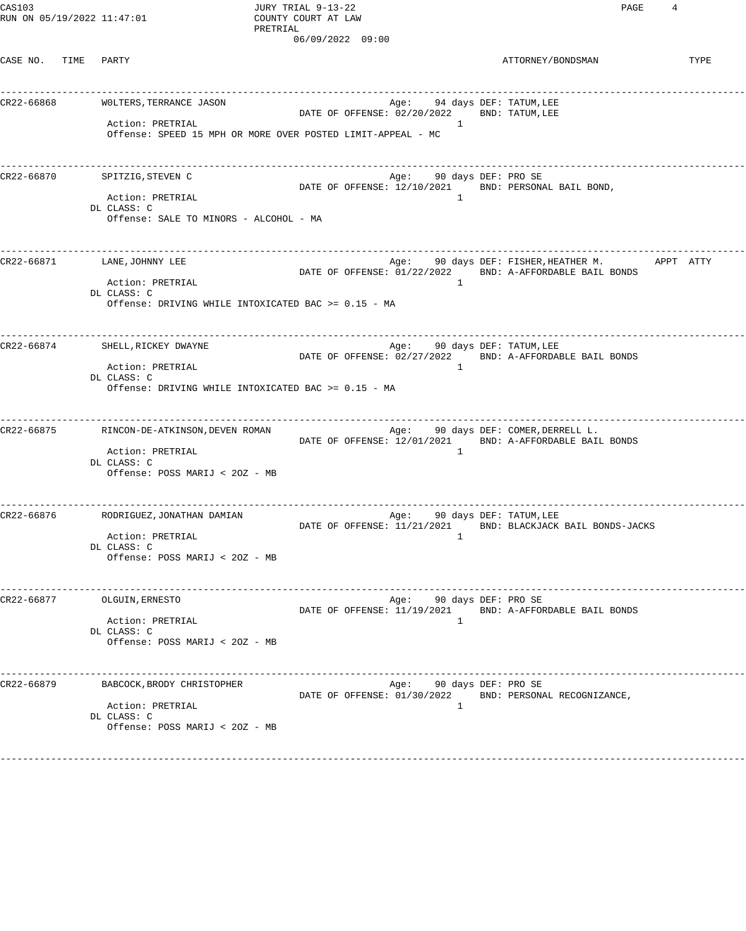CAS103 JURY TRIAL 9-13-22 PAGE 4 RUN ON 05/19/2022 11:47:01 COUNTY COURT AT LAW

PRETRIAL 06/09/2022 09:00

CASE NO. TIME PARTY **Example 20** PARTY PONDSMAN ATTORNEY/BONDSMAN

| CR22-66868 | -----------------------------------<br>WOLTERS, TERRANCE JASON<br>Action: PRETRIAL<br>Offense: SPEED 15 MPH OR MORE OVER POSTED LIMIT-APPEAL - MC |  | Age: 94 days DEF: TATUM, LEE<br>DATE OF OFFENSE: 02/20/2022 | $\mathbf{1}$   | BND: TATUM, LEE                                                                                                           |
|------------|---------------------------------------------------------------------------------------------------------------------------------------------------|--|-------------------------------------------------------------|----------------|---------------------------------------------------------------------------------------------------------------------------|
| CR22-66870 | SPITZIG, STEVEN C<br>Action: PRETRIAL<br>DL CLASS: C<br>Offense: SALE TO MINORS - ALCOHOL - MA                                                    |  | Age: 90 days DEF: PRO SE                                    | $\mathbf{1}$   | DATE OF OFFENSE: 12/10/2021 BND: PERSONAL BAIL BOND,                                                                      |
|            | CR22-66871 LANE, JOHNNY LEE<br>Action: PRETRIAL<br>DL CLASS: C<br>Offense: DRIVING WHILE INTOXICATED BAC >= 0.15 - MA                             |  |                                                             | $\mathbf{1}$   | Age: 90 days DEF: FISHER,HEATHER M.               APPT   ATTY<br>DATE OF OFFENSE: 01/22/2022 BND: A-AFFORDABLE BAIL BONDS |
|            | CR22-66874 SHELL, RICKEY DWAYNE<br>Action: PRETRIAL<br>DL CLASS: C<br>Offense: DRIVING WHILE INTOXICATED BAC >= 0.15 - MA                         |  | Age: 90 days DEF: TATUM,LEE                                 | $\mathbf{1}$   | DATE OF OFFENSE: 02/27/2022 BND: A-AFFORDABLE BAIL BONDS                                                                  |
|            | CR22-66875 RINCON-DE-ATKINSON, DEVEN ROMAN<br>Action: PRETRIAL<br>DL CLASS: C<br>Offense: POSS MARIJ < 20Z - MB                                   |  |                                                             | $\mathbf{1}$   | Age: 90 days DEF: COMER,DERRELL L.<br>DATE OF OFFENSE: 12/01/2021 BND: A-AFFORDABLE BAIL BONDS                            |
| CR22-66876 | RODRIGUEZ,JONATHAN DAMIAN<br>Action: PRETRIAL<br>DL CLASS: C<br>Offense: POSS MARIJ < 20Z - MB                                                    |  | Age: 90 days DEF: TATUM,LEE                                 | $\mathbf{1}$   | DATE OF OFFENSE: 11/21/2021 BND: BLACKJACK BAIL BONDS-JACKS                                                               |
| CR22-66877 | OLGUIN, ERNESTO<br>Action: PRETRIAL<br>DL CLASS: C<br>Offense: POSS MARIJ < 20Z - MB                                                              |  | Age:                                                        | $\overline{1}$ | 90 days DEF: PRO SE<br>DATE OF OFFENSE: 11/19/2021 BND: A-AFFORDABLE BAIL BONDS                                           |
| CR22-66879 | ______________________________<br>BABCOCK, BRODY CHRISTOPHER<br>Action: PRETRIAL<br>DL CLASS: C<br>Offense: POSS MARIJ < 20Z - MB                 |  | Age: 90 days DEF: PRO SE                                    | $\mathbf{1}$   | DATE OF OFFENSE: 01/30/2022 BND: PERSONAL RECOGNIZANCE,                                                                   |
|            |                                                                                                                                                   |  |                                                             |                |                                                                                                                           |